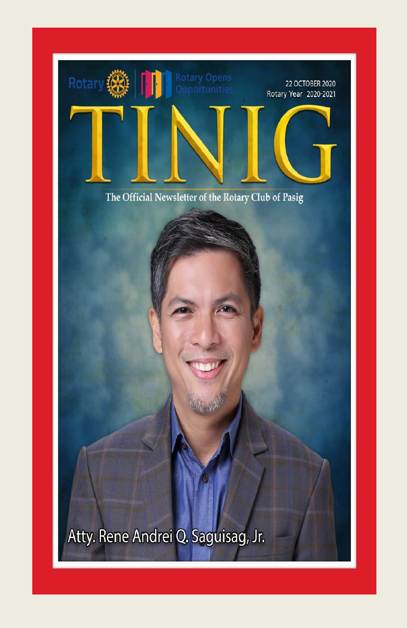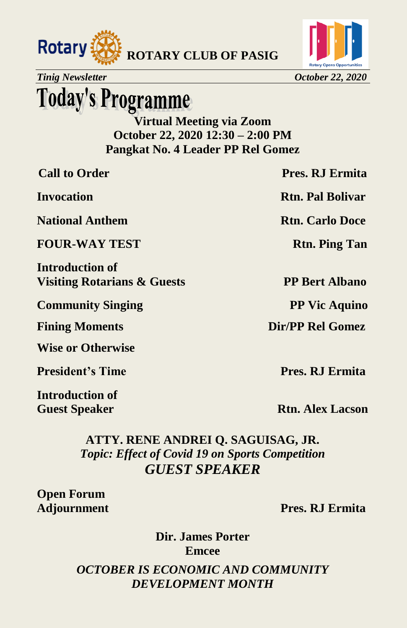



*Tinig Newsletter Constanting Newsletter Constanting Newsletter* **<b>***October 22, 2020* 

# **Today's Programme**

**Virtual Meeting via Zoom October 22, 2020 12:30 – 2:00 PM Pangkat No. 4 Leader PP Rel Gomez**

**Call to Order Pres. RJ Ermita Invocation Rtn. Pal Bolivar National Anthem Rtn. Carlo Doce FOUR-WAY TEST** Rtn. Ping Tan **Introduction of** 

**Visiting Rotarians & Guests PP Bert Albano**

**Community Singing PP Vic Aquino** 

**Wise or Otherwise** 

**President's Time Pres. RJ Ermita** 

**Introduction of**

**Fining Moments Dir/PP Rel Gomez** 

**Guest Speaker Rtn. Alex Lacson** 

## **ATTY. RENE ANDREI Q. SAGUISAG, JR.** *Topic: Effect of Covid 19 on Sports Competition GUEST SPEAKER*

**Open Forum**

**Adjournment Pres. RJ Ermita**

**Dir. James Porter Emcee**

*OCTOBER IS ECONOMIC AND COMMUNITY DEVELOPMENT MONTH*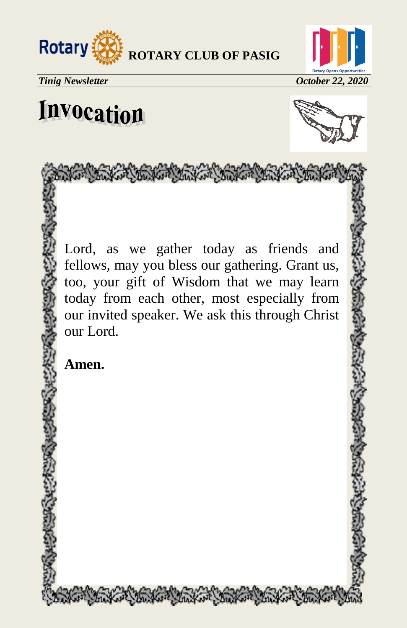



# **Invocation**



Lord, as we gather today as friends and fellows, may you bless our gathering. Grant us, too, your gift of Wisdom that we may learn today from each other, most especially from our invited speaker. We ask this through Christ our Lord.

Con the Way The March The Way ? Contact The Way

**Amen.**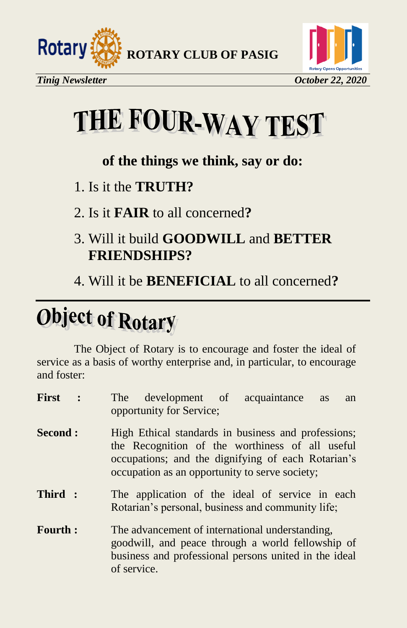



# THE FOUR-WAY TEST

## **of the things we think, say or do:**

- 1. Is it the **TRUTH?**
- 2. Is it **FAIR** to all concerned**?**
- 3. Will it build **GOODWILL** and **BETTER FRIENDSHIPS?**
- 4. Will it be **BENEFICIAL** to all concerned**?**

# **Object of Rotary**

The Object of Rotary is to encourage and foster the ideal of service as a basis of worthy enterprise and, in particular, to encourage and foster:

| <b>First</b>   | development of acquaintance<br>The The<br>as<br>an<br>opportunity for Service;                                                                                                                                 |
|----------------|----------------------------------------------------------------------------------------------------------------------------------------------------------------------------------------------------------------|
| <b>Second:</b> | High Ethical standards in business and professions;<br>the Recognition of the worthiness of all useful<br>occupations; and the dignifying of each Rotarian's<br>occupation as an opportunity to serve society; |
| Third:         | The application of the ideal of service in each<br>Rotarian's personal, business and community life;                                                                                                           |
| <b>Fourth:</b> | The advancement of international understanding,<br>goodwill, and peace through a world fellowship of<br>business and professional persons united in the ideal<br>of service.                                   |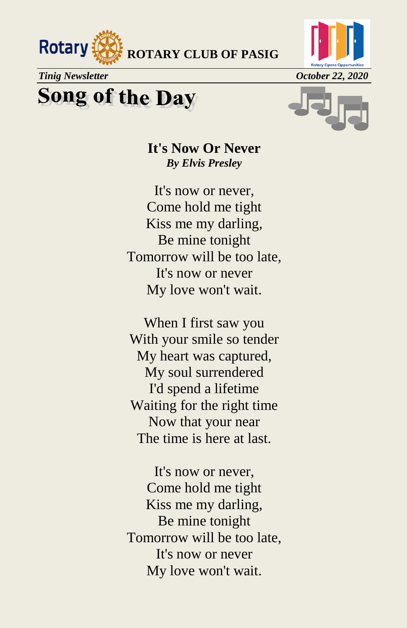





**It's Now Or Never** *By Elvis Presley*

It's now or never, Come hold me tight Kiss me my darling, Be mine tonight Tomorrow will be too late, It's now or never My love won't wait.

When I first saw you With your smile so tender My heart was captured, My soul surrendered I'd spend a lifetime Waiting for the right time Now that your near The time is here at last.

It's now or never, Come hold me tight Kiss me my darling, Be mine tonight Tomorrow will be too late, It's now or never My love won't wait.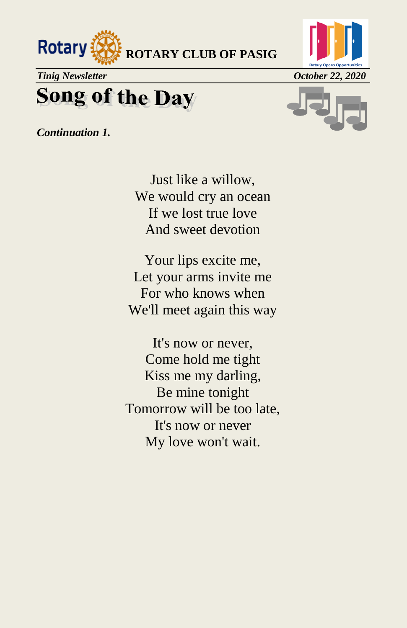



## **Song of the Day**

*Continuation 1.* 



Just like a willow, We would cry an ocean If we lost true love And sweet devotion

Your lips excite me, Let your arms invite me For who knows when We'll meet again this way

It's now or never, Come hold me tight Kiss me my darling, Be mine tonight Tomorrow will be too late, It's now or never My love won't wait.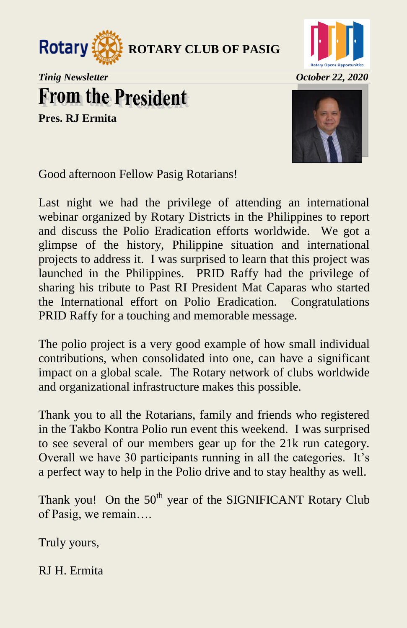



## **From the President**

**Pres. RJ Ermita**



Good afternoon Fellow Pasig Rotarians!

Last night we had the privilege of attending an international webinar organized by Rotary Districts in the Philippines to report and discuss the Polio Eradication efforts worldwide. We got a glimpse of the history, Philippine situation and international projects to address it. I was surprised to learn that this project was launched in the Philippines. PRID Raffy had the privilege of sharing his tribute to Past RI President Mat Caparas who started the International effort on Polio Eradication. Congratulations PRID Raffy for a touching and memorable message.

The polio project is a very good example of how small individual contributions, when consolidated into one, can have a significant impact on a global scale. The Rotary network of clubs worldwide and organizational infrastructure makes this possible.

Thank you to all the Rotarians, family and friends who registered in the Takbo Kontra Polio run event this weekend. I was surprised to see several of our members gear up for the 21k run category. Overall we have 30 participants running in all the categories. It's a perfect way to help in the Polio drive and to stay healthy as well.

Thank you! On the  $50<sup>th</sup>$  year of the SIGNIFICANT Rotary Club of Pasig, we remain….

Truly yours,

RJ H. Ermita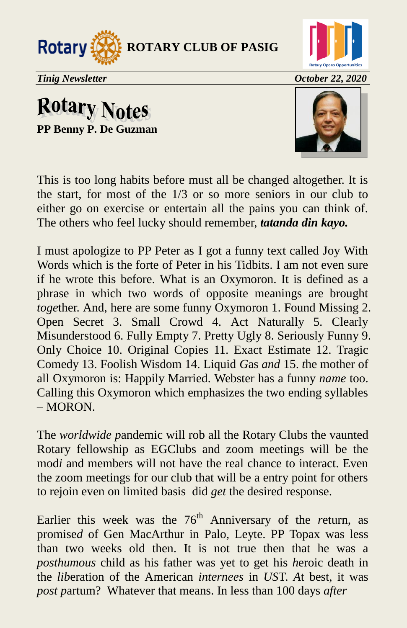



## **Rotary Notes PP Benny P. De Guzman**



This is too long habits before must all be changed altogether. It is the start, for most of the 1/3 or so more seniors in our club to either go on exercise or entertain all the pains you can think of. The others who feel lucky should remember, *tatanda din kayo.*

I must apologize to PP Peter as I got a funny text called Joy With Words which is the forte of Peter in his Tidbits. I am not even sure if he wrote this before. What is an Oxymoron. It is defined as a phrase in which two words of opposite meanings are brought *toge*ther. And, here are some funny Oxymoron 1. Found Missing 2. Open Secret 3. Small Crowd 4. Act Naturally 5. Clearly Misunderstood 6. Fully Empty 7. Pretty Ugly 8. Seriously Funny 9. Only Choice 10. Original Copies 11. Exact Estimate 12. Tragic Comedy 13. Foolish Wisdom 14. Liquid *G*as *and* 15. *t*he mother of all Oxymoron is: Happily Married. Webster has a funny *name* too. Calling this Oxymoron which emphasizes the two ending syllables – MORON.

The *worldwide p*andemic will rob all the Rotary Clubs the vaunted Rotary fellowship as EGClubs and zoom meetings will be the mod*i* and members will not have the real chance to interact. Even the zoom meetings for our club that will be a entry point for others to rejoin even on limited basis did *get* the desired response.

Earlier this week was the 76<sup>th</sup> Anniversary of the *return*, as promise*d* of Gen MacArthur in Palo, Leyte. PP Topax was less than two weeks old then. It is not true then that he was a *posthumous* child as his father was yet to get his *h*eroic death in the *lib*eration of the American *internees* in *US*T. *A*t best, it was *post p*artum? Whatever that means. In less than 100 days *after*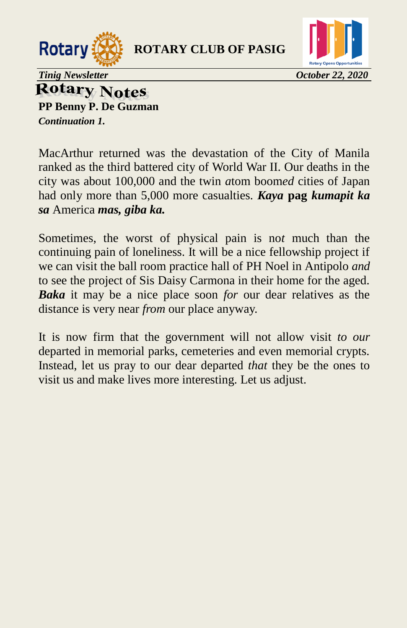



**Rotary Notes PP Benny P. De Guzman**  *Continuation 1.* 

MacArthur returned was the devastation of the City of Manila ranked as the third battered city of World War II. Our deaths in the city was about 100,000 and the twin *a*tom boom*ed* cities of Japan had only more than 5,000 more casualties. *Kaya* **pag** *kumapit ka sa* America *mas, giba ka.*

Sometimes, the worst of physical pain is no*t* much than the continuing pain of loneliness. It will be a nice fellowship project if we can visit the ball room practice hall of PH Noel in Antipolo *and*  to see the project of Sis Daisy Carmona in their home for the aged. *Baka* it may be a nice place soon *for* our dear relatives as the distance is very near *from* our place anyway.

It is now firm that the government will not allow visit *to our* departed in memorial parks, cemeteries and even memorial crypts. Instead, let us pray to our dear departed *that* they be the ones to visit us and make lives more interesting. Let us adjust.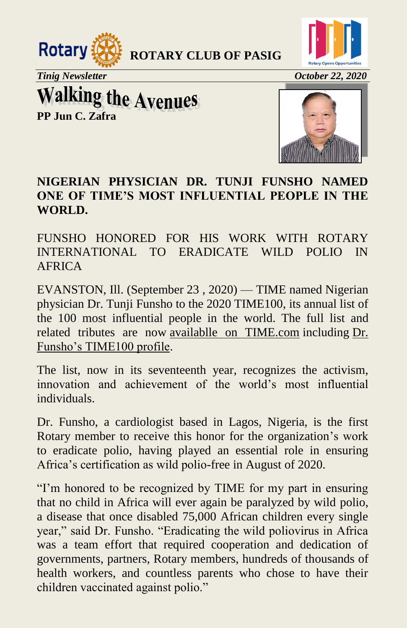



*Tinig Newsletter October 22, 2020* 

**Walking the Avenues PP Jun C. Zafra**



## **NIGERIAN PHYSICIAN DR. TUNJI FUNSHO NAMED ONE OF TIME'S MOST INFLUENTIAL PEOPLE IN THE WORLD.**

FUNSHO HONORED FOR HIS WORK WITH ROTARY INTERNATIONAL TO ERADICATE WILD POLIO IN AFRICA

EVANSTON, Ill. (September 23 , 2020) — TIME named Nigerian physician Dr. Tunji Funsho to the 2020 TIME100, its annual list of the 100 most influential people in the world. The full list and related tributes are now [availablle on TIME.com](https://nam02.safelinks.protection.outlook.com/?url=http%3A%2F%2Fwww.time.com%2Ftime100&data=02%7C01%7CAudrey.Carl%40rotary.org%7Cda826fb5e76c4a9ab30a08d85e68a7eb%7C67b4e0430afd4afb8b94bf96370c8e7f%7C1%7C0%7C637363150886224075&sdata=Z%2FgOYvHQiJhL81IYqThLhYeezNdKwCaHK6IdpZby8JE%3D&reserved=0) including [Dr.](https://time.com/collection/100-most-influential-people-2020/5888417/tunji-funsho/)  [Funsho's TIME100 profile.](https://time.com/collection/100-most-influential-people-2020/5888417/tunji-funsho/)

The list, now in its seventeenth year, recognizes the activism, innovation and achievement of the world's most influential individuals.

Dr. Funsho, a cardiologist based in Lagos, Nigeria, is the first Rotary member to receive this honor for the organization's work to eradicate polio, having played an essential role in ensuring Africa's certification as wild polio-free in August of 2020.

"I'm honored to be recognized by TIME for my part in ensuring that no child in Africa will ever again be paralyzed by wild polio, a disease that once disabled 75,000 African children every single year," said Dr. Funsho. "Eradicating the wild poliovirus in Africa was a team effort that required cooperation and dedication of governments, partners, Rotary members, hundreds of thousands of health workers, and countless parents who chose to have their children vaccinated against polio."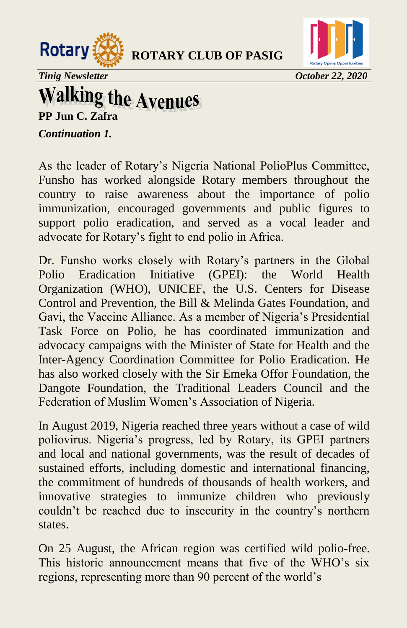



*Tinig Newsletter*  $October 22, 2020$ 

## **Walking the Avenues**

**PP Jun C. Zafra** 

*Continuation 1.* 

As the leader of Rotary's Nigeria National PolioPlus Committee, Funsho has worked alongside Rotary members throughout the country to raise awareness about the importance of polio immunization, encouraged governments and public figures to support polio eradication, and served as a vocal leader and advocate for Rotary's fight to end polio in Africa.

Dr. Funsho works closely with Rotary's partners in the Global Polio Eradication Initiative (GPEI): the World Health Organization (WHO), UNICEF, the U.S. Centers for Disease Control and Prevention, the Bill & Melinda Gates Foundation, and Gavi, the Vaccine Alliance. As a member of Nigeria's Presidential Task Force on Polio, he has coordinated immunization and advocacy campaigns with the Minister of State for Health and the Inter-Agency Coordination Committee for Polio Eradication. He has also worked closely with the Sir Emeka Offor Foundation, the Dangote Foundation, the Traditional Leaders Council and the Federation of Muslim Women's Association of Nigeria.

In August 2019, Nigeria reached three years without a case of wild poliovirus. Nigeria's progress, led by Rotary, its GPEI partners and local and national governments, was the result of decades of sustained efforts, including domestic and international financing, the commitment of hundreds of thousands of health workers, and innovative strategies to immunize children who previously couldn't be reached due to insecurity in the country's northern states.

On 25 August, the African region was certified wild polio-free. This historic announcement means that five of the WHO's six regions, representing more than 90 percent of the world's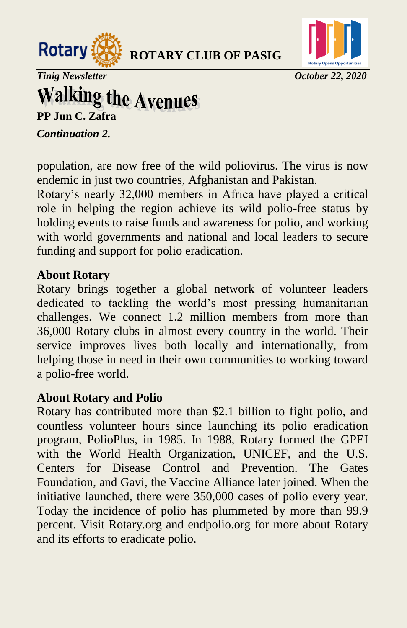



*Tinig Newsletter*  $October 22, 2020$ 

## **Iking the Avenues**

**PP Jun C. Zafra** 

*Continuation 2.* 

population, are now free of the wild poliovirus. The virus is now endemic in just two countries, Afghanistan and Pakistan.

Rotary's nearly 32,000 members in Africa have played a critical role in helping the region achieve its wild polio-free status by holding events to raise funds and awareness for polio, and working with world governments and national and local leaders to secure funding and support for polio eradication.

#### **About Rotary**

Rotary brings together a global network of volunteer leaders dedicated to tackling the world's most pressing humanitarian challenges. We connect 1.2 million members from more than 36,000 Rotary clubs in almost every country in the world. Their service improves lives both locally and internationally, from helping those in need in their own communities to working toward a polio-free world.

#### **About Rotary and Polio**

Rotary has contributed more than \$2.1 billion to fight polio, and countless volunteer hours since launching its polio eradication program, PolioPlus, in 1985. In 1988, Rotary formed the GPEI with the World Health Organization, UNICEF, and the U.S. Centers for Disease Control and Prevention. The Gates Foundation, and Gavi, the Vaccine Alliance later joined. When the initiative launched, there were 350,000 cases of polio every year. Today the incidence of polio has plummeted by more than 99.9 percent. Visit Rotary.org and endpolio.org for more about Rotary and its efforts to eradicate polio.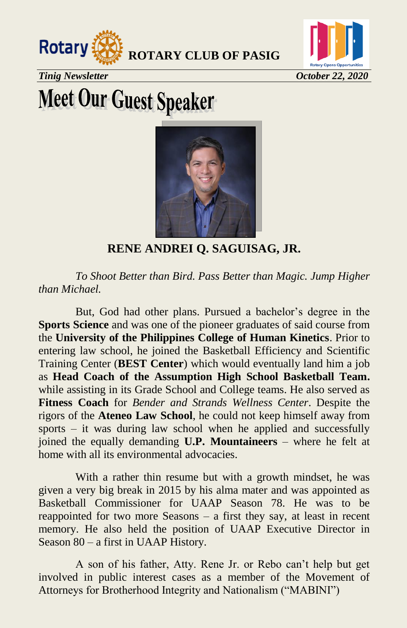



## **Meet Our Guest Speaker**



**RENE ANDREI Q. SAGUISAG, JR.** 

*To Shoot Better than Bird. Pass Better than Magic. Jump Higher than Michael.* 

But, God had other plans. Pursued a bachelor's degree in the **Sports Science** and was one of the pioneer graduates of said course from the **University of the Philippines College of Human Kinetics**. Prior to entering law school, he joined the Basketball Efficiency and Scientific Training Center (**BEST Center**) which would eventually land him a job as **Head Coach of the Assumption High School Basketball Team.** while assisting in its Grade School and College teams. He also served as **Fitness Coach** for *Bender and Strands Wellness Center*. Despite the rigors of the **Ateneo Law School**, he could not keep himself away from sports – it was during law school when he applied and successfully joined the equally demanding **U.P. Mountaineers** – where he felt at home with all its environmental advocacies.

With a rather thin resume but with a growth mindset, he was given a very big break in 2015 by his alma mater and was appointed as Basketball Commissioner for UAAP Season 78. He was to be reappointed for two more Seasons – a first they say, at least in recent memory. He also held the position of UAAP Executive Director in Season 80 – a first in UAAP History.

A son of his father, Atty. Rene Jr. or Rebo can't help but get involved in public interest cases as a member of the Movement of Attorneys for Brotherhood Integrity and Nationalism ("MABINI")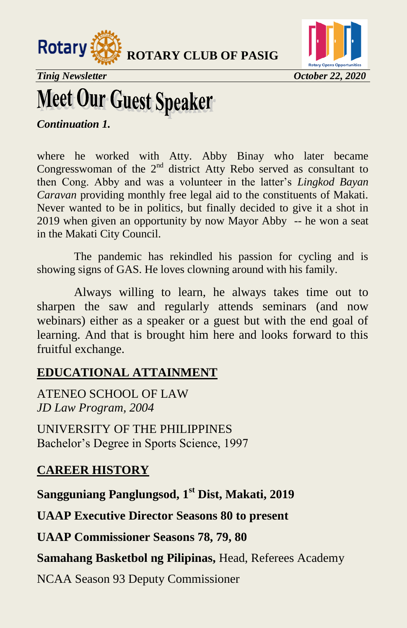



## **Meet Our Guest Speaker**

*Continuation 1.* 

where he worked with Atty. Abby Binay who later became Congresswoman of the  $2<sup>nd</sup>$  district Atty Rebo served as consultant to then Cong. Abby and was a volunteer in the latter's *Lingkod Bayan Caravan* providing monthly free legal aid to the constituents of Makati. Never wanted to be in politics, but finally decided to give it a shot in 2019 when given an opportunity by now Mayor Abby -- he won a seat in the Makati City Council.

The pandemic has rekindled his passion for cycling and is showing signs of GAS. He loves clowning around with his family.

Always willing to learn, he always takes time out to sharpen the saw and regularly attends seminars (and now webinars) either as a speaker or a guest but with the end goal of learning. And that is brought him here and looks forward to this fruitful exchange.

## **EDUCATIONAL ATTAINMENT**

ATENEO SCHOOL OF LAW *JD Law Program, 2004* 

UNIVERSITY OF THE PHILIPPINES Bachelor's Degree in Sports Science, 1997

## **CAREER HISTORY**

**Sangguniang Panglungsod, 1st Dist, Makati, 2019**

**UAAP Executive Director Seasons 80 to present** 

**UAAP Commissioner Seasons 78, 79, 80** 

**Samahang Basketbol ng Pilipinas,** Head, Referees Academy

NCAA Season 93 Deputy Commissioner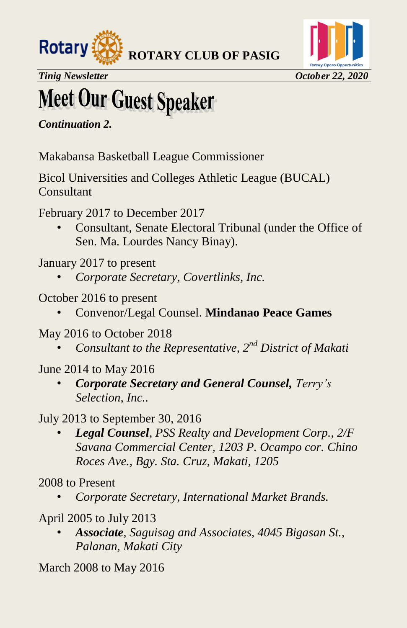



## **Meet Our Guest Speaker**

*Continuation 2.* 

Makabansa Basketball League Commissioner

Bicol Universities and Colleges Athletic League (BUCAL) Consultant

February 2017 to December 2017

• Consultant, Senate Electoral Tribunal (under the Office of Sen. Ma. Lourdes Nancy Binay).

January 2017 to present

- *Corporate Secretary, Covertlinks, Inc.*
- October 2016 to present
	- Convenor/Legal Counsel. **Mindanao Peace Games**

May 2016 to October 2018

• *Consultant to the Representative, 2nd District of Makati*

June 2014 to May 2016

• *Corporate Secretary and General Counsel, Terry's Selection, Inc..*

July 2013 to September 30, 2016

• *Legal Counsel, PSS Realty and Development Corp., 2/F Savana Commercial Center, 1203 P. Ocampo cor. Chino Roces Ave., Bgy. Sta. Cruz, Makati, 1205*

2008 to Present

• *Corporate Secretary, International Market Brands.*

April 2005 to July 2013

• *Associate, Saguisag and Associates, 4045 Bigasan St., Palanan, Makati City*

March 2008 to May 2016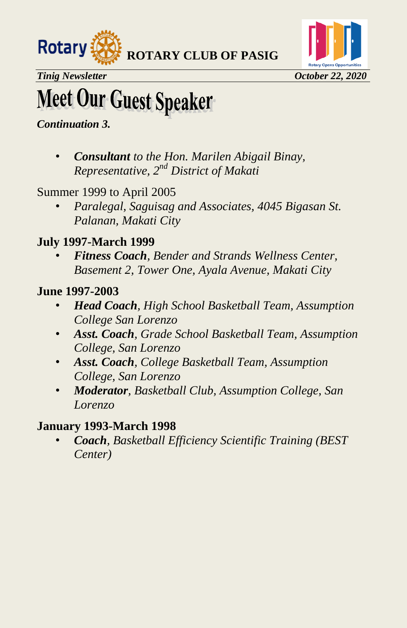



*Tinig Newsletter October 22, 2020* 

# **Meet Our Guest Speaker**

*Continuation 3.* 

• *Consultant to the Hon. Marilen Abigail Binay, Representative, 2nd District of Makati*

## Summer 1999 to April 2005

• *Paralegal, Saguisag and Associates, 4045 Bigasan St. Palanan, Makati City*

## **July 1997-March 1999**

• *Fitness Coach, Bender and Strands Wellness Center, Basement 2, Tower One, Ayala Avenue, Makati City*

## **June 1997-2003**

- *Head Coach, High School Basketball Team, Assumption College San Lorenzo*
- *Asst. Coach, Grade School Basketball Team, Assumption College, San Lorenzo*
- *Asst. Coach, College Basketball Team, Assumption College, San Lorenzo*
- *Moderator, Basketball Club, Assumption College, San Lorenzo*

#### **January 1993-March 1998**

• *Coach, Basketball Efficiency Scientific Training (BEST Center)*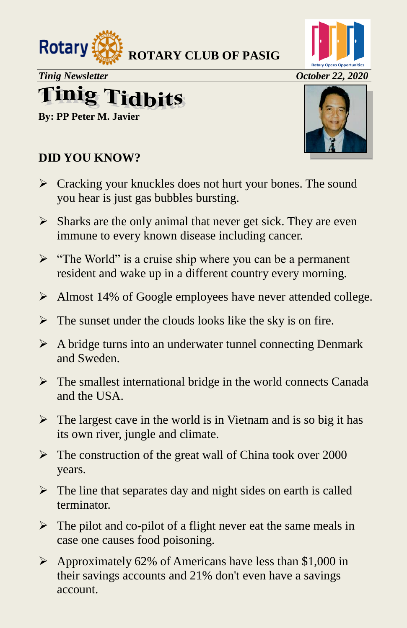



# **Tinig Tidbits**

**By: PP Peter M. Javier** 



## **DID YOU KNOW?**

- $\triangleright$  Cracking your knuckles does not hurt your bones. The sound you hear is just gas bubbles bursting.
- $\triangleright$  Sharks are the only animal that never get sick. They are even immune to every known disease including cancer.
- $\triangleright$  "The World" is a cruise ship where you can be a permanent resident and wake up in a different country every morning.
- Almost 14% of Google employees have never attended college.
- $\triangleright$  The sunset under the clouds looks like the sky is on fire.
- $\triangleright$  A bridge turns into an underwater tunnel connecting Denmark and Sweden.
- $\triangleright$  The smallest international bridge in the world connects Canada and the USA.
- $\triangleright$  The largest cave in the world is in Vietnam and is so big it has its own river, jungle and climate.
- $\triangleright$  The construction of the great wall of China took over 2000 years.
- $\triangleright$  The line that separates day and night sides on earth is called terminator.
- $\triangleright$  The pilot and co-pilot of a flight never eat the same meals in case one causes food poisoning.
- $\triangleright$  Approximately 62% of Americans have less than \$1,000 in their savings accounts and 21% don't even have a savings account.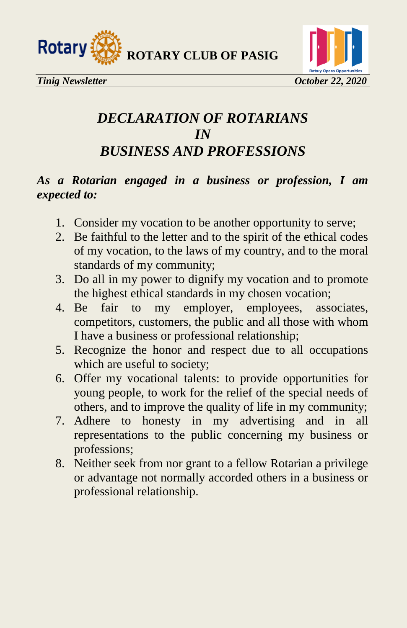

## *DECLARATION OF ROTARIANS IN BUSINESS AND PROFESSIONS*

#### *As a Rotarian engaged in a business or profession, I am expected to:*

- 1. Consider my vocation to be another opportunity to serve;
- 2. Be faithful to the letter and to the spirit of the ethical codes of my vocation, to the laws of my country, and to the moral standards of my community;
- 3. Do all in my power to dignify my vocation and to promote the highest ethical standards in my chosen vocation;
- 4. Be fair to my employer, employees, associates, competitors, customers, the public and all those with whom I have a business or professional relationship;
- 5. Recognize the honor and respect due to all occupations which are useful to society;
- 6. Offer my vocational talents: to provide opportunities for young people, to work for the relief of the special needs of others, and to improve the quality of life in my community;
- 7. Adhere to honesty in my advertising and in all representations to the public concerning my business or professions;
- 8. Neither seek from nor grant to a fellow Rotarian a privilege or advantage not normally accorded others in a business or professional relationship.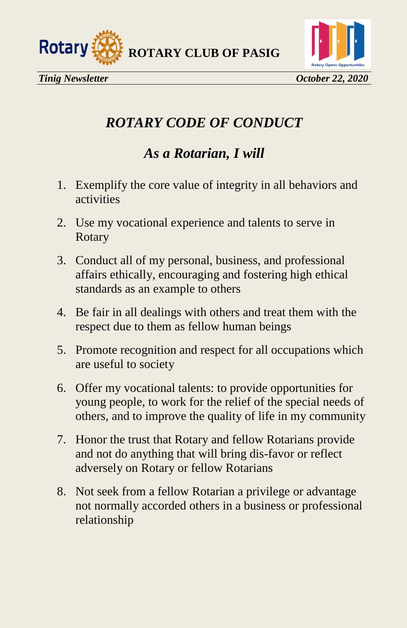



## *ROTARY CODE OF CONDUCT*

## *As a Rotarian, I will*

- 1. Exemplify the core value of integrity in all behaviors and activities
- 2. Use my vocational experience and talents to serve in Rotary
- 3. Conduct all of my personal, business, and professional affairs ethically, encouraging and fostering high ethical standards as an example to others
- 4. Be fair in all dealings with others and treat them with the respect due to them as fellow human beings
- 5. Promote recognition and respect for all occupations which are useful to society
- 6. Offer my vocational talents: to provide opportunities for young people, to work for the relief of the special needs of others, and to improve the quality of life in my community
- 7. Honor the trust that Rotary and fellow Rotarians provide and not do anything that will bring dis-favor or reflect adversely on Rotary or fellow Rotarians
- 8. Not seek from a fellow Rotarian a privilege or advantage not normally accorded others in a business or professional relationship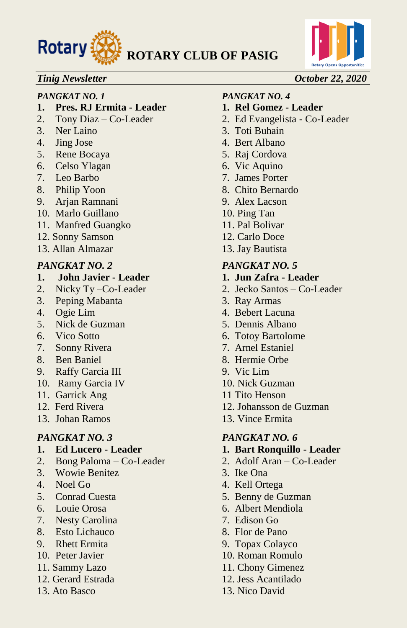



#### *PANGKAT NO. 1 PANGKAT NO. 4*

- **1. Pres. RJ Ermita Leader 1. Rel Gomez Leader**
- 
- 
- 
- 5. Rene Bocaya 5. Raj Cordova
- 6. Celso Ylagan 6. Vic Aquino
- 
- 
- 9. Arjan Ramnani 9. Alex Lacson
- 10. Marlo Guillano 10. Ping Tan
- 11. Manfred Guangko 11. Pal Bolivar
- 12. Sonny Samson 12. Carlo Doce
- 13. Allan Almazar 13. Jay Bautista

#### *PANGKAT NO. 2 PANGKAT NO. 5*

- **1. John Javier Leader 1. Jun Zafra Leader**
- 
- 3. Peping Mabanta 3. Ray Armas
- 
- 5. Nick de Guzman 5. Dennis Albano
- 
- 7. Sonny Rivera 7. Arnel Estaniel
- 8. Ben Baniel 8. Hermie Orbe
- 9. Raffy Garcia III 9. Vic Lim
- 10. Ramy Garcia IV 10. Nick Guzman
- 11. Garrick Ang 11 Tito Henson
- 
- 

- 
- 2. Bong Paloma Co-Leader 2. Adolf Aran Co-Leader
- 3. Wowie Benitez 3. Ike Ona
- 
- 
- 
- 7. Nesty Carolina 7. Edison Go
- 8. Esto Lichauco 8. Flor de Pano
- 
- 
- 
- 
- 

- 
- 2. Tony Diaz Co-Leader 2. Ed Evangelista Co-Leader
- 3. Ner Laino 3. Toti Buhain
- 4. Jing Jose 4. Bert Albano
	-
	-
- 7. Leo Barbo 7. James Porter
- 8. Philip Yoon 8. Chito Bernardo
	-
	-
	-
	-
	-

- 
- 2. Nicky Ty –Co-Leader 2. Jecko Santos Co-Leader
	-
- 4. Ogie Lim 4. Bebert Lacuna
	-
- 6. Vico Sotto 6. Totoy Bartolome
	-
	-
	-
	-
	-
- 12. Ferd Rivera 12. Johansson de Guzman
- 13. Johan Ramos 13. Vince Ermita

#### *PANGKAT NO. 3 PANGKAT NO. 6*

- **1. Ed Lucero Leader 1. Bart Ronquillo Leader**
	-
	-
- 4. Noel Go 4. Kell Ortega
- 5. Conrad Cuesta 5. Benny de Guzman
- 6. Louie Orosa 6. Albert Mendiola
	-
	-
- 9. Rhett Ermita 9. Topax Colayco
- 10. Peter Javier 10. Roman Romulo
- 11. Sammy Lazo 11. Chony Gimenez
- 12. Gerard Estrada 12. Jess Acantilado
- 13. Ato Basco 13. Nico David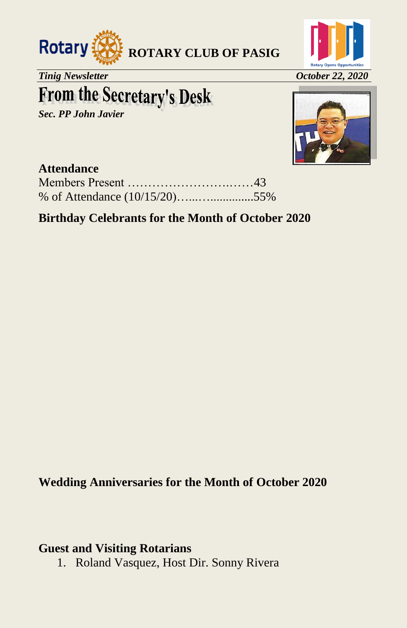



*Tinig Newsletter October 22, 2020* 

## **From the Secretary's Desk**

*Sec. PP John Javier* 



## **Attendance**

| % of Attendance $(10/15/20)$ 55% |  |
|----------------------------------|--|

#### **Birthday Celebrants for the Month of October 2020**

**Wedding Anniversaries for the Month of October 2020** 

#### **Guest and Visiting Rotarians**

1. Roland Vasquez, Host Dir. Sonny Rivera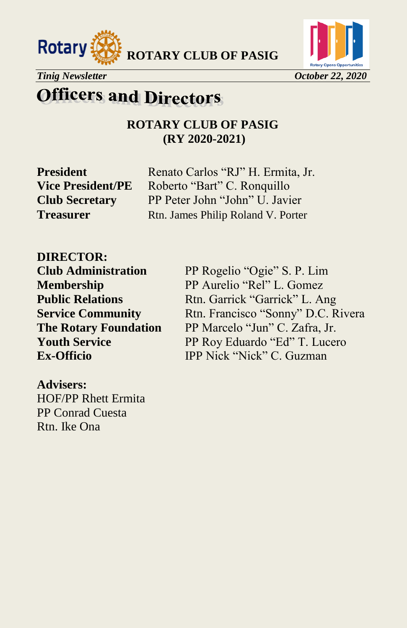





## **Officers and Directors**

**ROTARY CLUB OF PASIG (RY 2020-2021)**

**President** Renato Carlos "RJ" H. Ermita, Jr. **Vice President/PE** Roberto "Bart" C. Ronquillo **Club Secretary** PP Peter John "John" U. Javier **Treasurer** Rtn. James Philip Roland V. Porter

**DIRECTOR:** 

**Club Administration** PP Rogelio "Ogie" S. P. Lim **Membership** PP Aurelio "Rel" L. Gomez **Public Relations** Rtn. Garrick "Garrick" L. Ang **Service Community** Rtn. Francisco "Sonny" D.C. Rivera **The Rotary Foundation** PP Marcelo "Jun" C. Zafra, Jr. **Youth Service** PP Roy Eduardo "Ed" T. Lucero **Ex-Officio IPP Nick "Nick" C. Guzman** 

**Advisers:**  HOF/PP Rhett Ermita PP Conrad Cuesta Rtn. Ike Ona